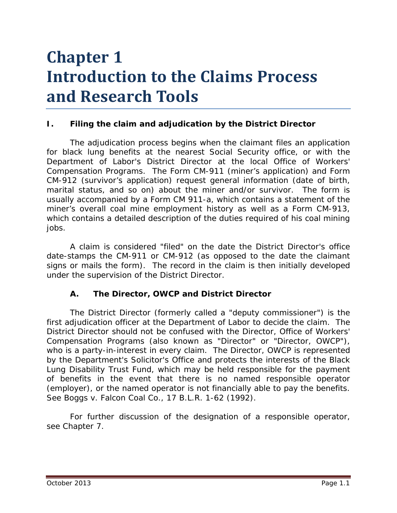# **Chapter 1 Introduction to the Claims Process and Research Tools**

## **I. Filing the claim and adjudication by the District Director**

The adjudication process begins when the claimant files an application for black lung benefits at the nearest Social Security office, or with the Department of Labor's District Director at the local Office of Workers' Compensation Programs. The Form CM-911 (miner's application) and Form CM-912 (survivor's application) request general information (date of birth, marital status, and so on) about the miner and/or survivor. The form is usually accompanied by a Form CM 911-a, which contains a statement of the miner's overall coal mine employment history as well as a Form CM-913, which contains a detailed description of the duties required of his coal mining jobs.

A claim is considered "filed" on the date the District Director's office date-stamps the CM-911 or CM-912 (as opposed to the date the claimant signs or mails the form). The record in the claim is then initially developed under the supervision of the District Director.

#### **A. The Director, OWCP and District Director**

The District Director (formerly called a "deputy commissioner") is the first adjudication officer at the Department of Labor to decide the claim. The District Director should not be confused with the Director, Office of Workers' Compensation Programs (also known as "Director" or "Director, OWCP"), who is a party-in-interest in every claim. The Director, OWCP is represented by the Department's Solicitor's Office and protects the interests of the Black Lung Disability Trust Fund, which may be held responsible for the payment of benefits in the event that there is no named responsible operator (employer), or the named operator is not financially able to pay the benefits. *See Boggs v. Falcon Coal Co.*, 17 B.L.R. 1-62 (1992).

For further discussion of the designation of a responsible operator, *see* Chapter 7.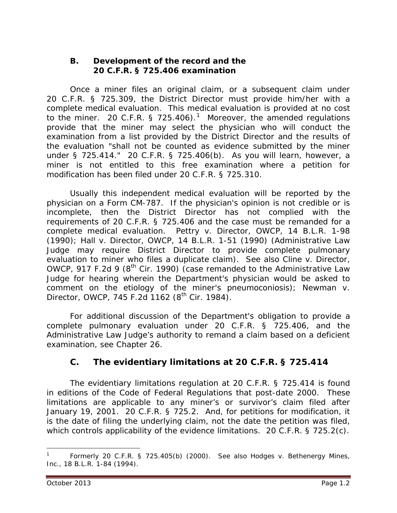#### **B. Development of the record and the 20 C.F.R. § 725.406 examination**

Once a *miner* files an original claim, or a subsequent claim under 20 C.F.R. § 725.309, the District Director must provide him/her with a complete medical evaluation. This medical evaluation is provided at no cost to the miner. 20 C.F.R. § 725.406).<sup>[1](#page-1-0)</sup> Moreover, the amended regulations provide that the miner may select the physician who will conduct the examination from a list provided by the District Director and the results of the evaluation "shall not be counted as evidence submitted by the miner under § 725.414." 20 C.F.R. § 725.406(b). As you will learn, however, a miner is *not* entitled to this free examination where a petition for modification has been filed under 20 C.F.R. § 725.310.

Usually this independent medical evaluation will be reported by the physician on a Form CM-787. If the physician's opinion is not credible or is incomplete, then the District Director has not complied with the requirements of 20 C.F.R. § 725.406 and the case must be remanded for a complete medical evaluation. *Pettry v. Director, OWCP*, 14 B.L.R. 1-98 (1990); *Hall v. Director, OWCP*, 14 B.L.R. 1-51 (1990) (Administrative Law Judge may require District Director to provide complete pulmonary evaluation to miner who files a duplicate claim). *See also Cline v. Director, OWCP*, 917 F.2d 9 (8<sup>th</sup> Cir. 1990) (case remanded to the Administrative Law Judge for hearing wherein the Department's physician would be asked to comment on the etiology of the miner's pneumoconiosis); *Newman v. Director, OWCP, 745 F.2d* 1162 (8<sup>th</sup> Cir. 1984).

For additional discussion of the Department's obligation to provide a complete pulmonary evaluation under 20 C.F.R. § 725.406, and the Administrative Law Judge's authority to remand a claim based on a deficient examination, *see* Chapter 26.

# **C. The evidentiary limitations at 20 C.F.R. § 725.414**

The evidentiary limitations regulation at 20 C.F.R. § 725.414 is found in editions of the Code of Federal Regulations that post-date 2000. These limitations are applicable to any miner's or survivor's claim filed *after* January 19, 2001. 20 C.F.R. § 725.2. And, for petitions for modification, it is the date of filing the underlying claim, not the date the petition was filed, which controls applicability of the evidence limitations. 20 C.F.R. § 725.2(c).

 $\overline{a}$ 

<span id="page-1-0"></span><sup>1</sup> Formerly 20 C.F.R. § 725.405(b) (2000). *See also Hodges v. Bethenergy Mines, Inc.*, 18 B.L.R. 1-84 (1994).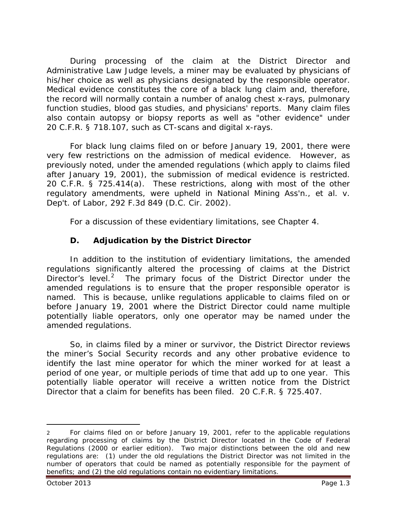During processing of the claim at the District Director and Administrative Law Judge levels, a miner may be evaluated by physicians of his/her choice as well as physicians designated by the responsible operator. Medical evidence constitutes the core of a black lung claim and, therefore, the record will normally contain a number of analog chest x-rays, pulmonary function studies, blood gas studies, and physicians' reports. Many claim files also contain autopsy or biopsy reports as well as "other evidence" under 20 C.F.R. § 718.107, such as CT-scans and digital x-rays.

For black lung claims filed on or before January 19, 2001, there were very few restrictions on the admission of medical evidence. However, as previously noted, under the amended regulations (which apply to claims filed after January 19, 2001), the submission of medical evidence is restricted. 20 C.F.R. § 725.414(a). These restrictions, along with most of the other regulatory amendments, were upheld in *National Mining Ass'n., et al. v. Dep't. of Labor*, 292 F.3d 849 (D.C. Cir. 2002).

For a discussion of these evidentiary limitations, *see* Chapter 4.

## **D. Adjudication by the District Director**

In addition to the institution of evidentiary limitations, the amended regulations significantly altered the processing of claims at the District Director's level.<sup>[2](#page-2-0)</sup> The primary focus of the District Director under the amended regulations is to ensure that the proper responsible operator is named. This is because, unlike regulations applicable to claims filed on or before January 19, 2001 where the District Director could name multiple potentially liable operators, only one operator may be named under the amended regulations.

So, in claims filed by a miner or survivor, the District Director reviews the miner's Social Security records and any other probative evidence to identify the *last* mine operator for which the miner worked for *at least a period of one year*, or multiple periods of time that add up to one year. This potentially liable operator will receive a written notice from the District Director that a claim for benefits has been filed. 20 C.F.R. § 725.407.

<span id="page-2-0"></span><sup>2</sup> For claims filed on or before January 19, 2001, refer to the applicable regulations regarding processing of claims by the District Director located in the Code of Federal Regulations (2000 or earlier edition). Two major distinctions between the old and new regulations are: (1) under the old regulations the District Director was not limited in the number of operators that could be named as potentially responsible for the payment of benefits; and (2) the old regulations contain no evidentiary limitations.  $\overline{a}$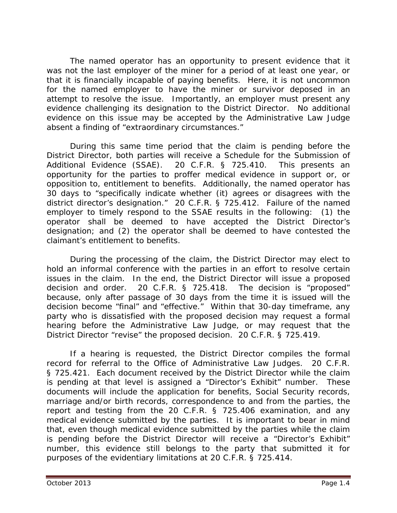The named operator has an opportunity to present evidence that it was not the last employer of the miner for a period of at least one year, or that it is financially incapable of paying benefits. Here, it is not uncommon for the named employer to have the miner or survivor deposed in an attempt to resolve the issue. Importantly, an employer *must* present any evidence challenging its designation to the District Director. No additional evidence on this issue may be accepted by the Administrative Law Judge absent a finding of "extraordinary circumstances."

During this same time period that the claim is pending before the District Director, both parties will receive a Schedule for the Submission of Additional Evidence (SSAE). 20 C.F.R. § 725.410. This presents an opportunity for the parties to proffer medical evidence in support or, or opposition to, entitlement to benefits. Additionally, the named operator has 30 days to "specifically indicate whether (it) agrees or disagrees with the district director's designation." 20 C.F.R. § 725.412. Failure of the named employer to timely respond to the SSAE results in the following: (1) the operator shall be deemed to have accepted the District Director's designation; and (2) the operator shall be deemed to have contested the claimant's entitlement to benefits.

During the processing of the claim, the District Director may elect to hold an informal conference with the parties in an effort to resolve certain issues in the claim. In the end, the District Director will issue a *proposed decision and order*. 20 C.F.R. § 725.418. The decision is "proposed" because, only after passage of 30 days from the time it is issued will the decision become "final" and "effective." Within that 30-day timeframe, any party who is dissatisfied with the proposed decision may request a formal hearing before the Administrative Law Judge, or may request that the District Director "revise" the proposed decision. 20 C.F.R. § 725.419.

If a hearing is requested, the District Director compiles the formal record for referral to the Office of Administrative Law Judges. 20 C.F.R. § 725.421. Each document received by the District Director while the claim is pending at that level is assigned a "Director's Exhibit" number. These documents will include the application for benefits, Social Security records, marriage and/or birth records, correspondence to and from the parties, the report and testing from the 20 C.F.R. § 725.406 examination, and any medical evidence submitted by the parties. It is important to bear in mind that, even though medical evidence submitted by the parties while the claim is pending before the District Director will receive a "Director's Exhibit" number, this evidence still belongs to the party that submitted it for purposes of the evidentiary limitations at 20 C.F.R. § 725.414.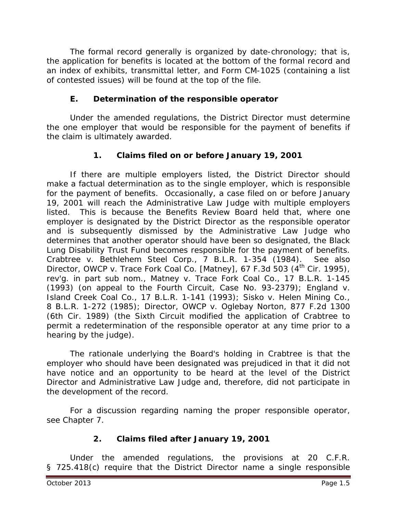The formal record generally is organized by date-chronology; that is, the application for benefits is located at the bottom of the formal record and an index of exhibits, transmittal letter, and Form CM-1025 (containing a list of contested issues) will be found at the top of the file.

## **E. Determination of the responsible operator**

Under the amended regulations, the District Director must determine the one employer that would be responsible for the payment of benefits if the claim is ultimately awarded.

## **1. Claims filed on or before January 19, 2001**

If there are multiple employers listed, the District Director should make a factual determination as to the single employer, which is responsible for the payment of benefits. Occasionally, a case filed on or before January 19, 2001 will reach the Administrative Law Judge with multiple employers listed. This is because the Benefits Review Board held that, where one employer is designated by the District Director as the responsible operator and is subsequently dismissed by the Administrative Law Judge who determines that another operator should have been so designated, the Black Lung Disability Trust Fund becomes responsible for the payment of benefits. *Crabtree v. Bethlehem Steel Corp.*, 7 B.L.R. 1-354 (1984). *See also Director, OWCP v. Trace Fork Coal Co. [Matney]*, 67 F.3d 503 (4<sup>th</sup> Cir. 1995), *rev'g. in part sub nom.*, *Matney v. Trace Fork Coal Co.*, 17 B.L.R. 1-145 (1993) (on appeal to the Fourth Circuit, Case No. 93-2379); *England v. Island Creek Coal Co.*, 17 B.L.R. 1-141 (1993); *Sisko v. Helen Mining Co.*, 8 B.L.R. 1-272 (1985); *Director, OWCP v. Oglebay Norton*, 877 F.2d 1300 (6th Cir. 1989) (the Sixth Circuit modified the application of *Crabtree* to permit a redetermination of the responsible operator at any time prior to a hearing by the judge).

The rationale underlying the Board's holding in *Crabtree* is that the employer who should have been designated was prejudiced in that it did not have notice and an opportunity to be heard at the level of the District Director and Administrative Law Judge and, therefore, did not participate in the development of the record.

For a discussion regarding naming the proper responsible operator, *see* Chapter 7.

## **2. Claims filed after January 19, 2001**

Under the amended regulations, the provisions at 20 C.F.R. § 725.418(c) require that the District Director name a single responsible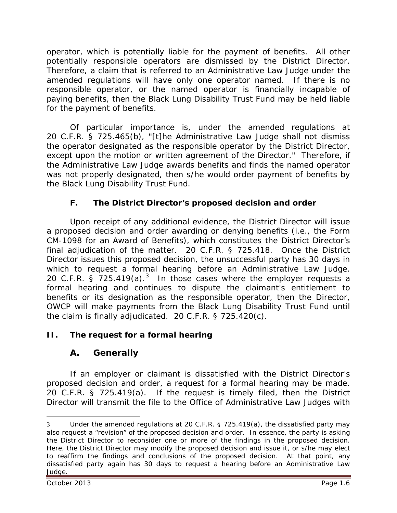operator, which is potentially liable for the payment of benefits. All other potentially responsible operators are dismissed by the District Director. Therefore, a claim that is referred to an Administrative Law Judge under the amended regulations will have only one operator named. If there is no responsible operator, or the named operator is financially incapable of paying benefits, then the Black Lung Disability Trust Fund may be held liable for the payment of benefits.

Of particular importance is, under the amended regulations at 20 C.F.R. § 725.465(b), "[t]he Administrative Law Judge shall not dismiss the operator designated as the responsible operator by the District Director, except upon the motion or written agreement of the Director." Therefore, if the Administrative Law Judge awards benefits and finds the named operator was not properly designated, then s/he would order payment of benefits by the Black Lung Disability Trust Fund.

# **F. The District Director's proposed decision and order**

Upon receipt of any additional evidence, the District Director will issue a proposed decision and order awarding or denying benefits (*i.e.*, the Form CM-1098 for an Award of Benefits), which constitutes the District Director's final adjudication of the matter. 20 C.F.R. § 725.418. Once the District Director issues this proposed decision, the unsuccessful party has 30 days in which to request a formal hearing before an Administrative Law Judge. 20 C.F.R. § 725.419 $(a)$ .<sup>[3](#page-5-0)</sup> In those cases where the employer requests a formal hearing and continues to dispute the claimant's entitlement to benefits or its designation as the responsible operator, then the Director, OWCP will make payments from the Black Lung Disability Trust Fund until the claim is finally adjudicated. 20 C.F.R. § 725.420(c).

# **II. The request for a formal hearing**

# **A. Generally**

If an employer or claimant is dissatisfied with the District Director's proposed decision and order, a request for a formal hearing may be made. 20 C.F.R. § 725.419(a). If the request is timely filed, then the District Director will transmit the file to the Office of Administrative Law Judges with

<span id="page-5-0"></span><sup>3</sup> Under the amended regulations at 20 C.F.R. § 725.419(a), the dissatisfied party may also request a "revision" of the proposed decision and order. In essence, the party is asking the District Director to reconsider one or more of the findings in the proposed decision. Here, the District Director may modify the proposed decision and issue it, or s/he may elect to reaffirm the findings and conclusions of the proposed decision. At that point, any dissatisfied party again has 30 days to request a hearing before an Administrative Law Judge.  $\overline{a}$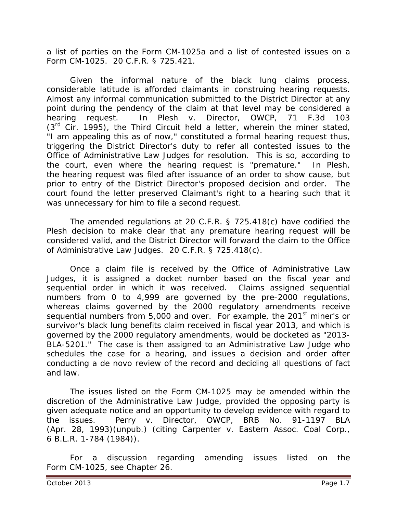a list of parties on the Form CM-1025a and a list of contested issues on a Form CM-1025. 20 C.F.R. § 725.421.

Given the informal nature of the black lung claims process, considerable latitude is afforded claimants in construing hearing requests. Almost any informal communication submitted to the District Director at any point during the pendency of the claim at that level may be considered a hearing request. In *Plesh v. Director, OWCP*, 71 F.3d 103  $(3<sup>rd</sup>$  Cir. 1995), the Third Circuit held a letter, wherein the miner stated, "I am appealing this as of now," constituted a formal hearing request thus, triggering the District Director's duty to refer all contested issues to the Office of Administrative Law Judges for resolution. This is so, according to the court, even where the hearing request is "premature." In *Plesh*, the hearing request was filed after issuance of an order to show cause, but prior to entry of the District Director's proposed decision and order. The court found the letter preserved Claimant's right to a hearing such that it was unnecessary for him to file a second request.

The amended regulations at 20 C.F.R. § 725.418(c) have codified the *Plesh* decision to make clear that any premature hearing request will be considered valid, and the District Director will forward the claim to the Office of Administrative Law Judges. 20 C.F.R. § 725.418(c).

Once a claim file is received by the Office of Administrative Law Judges, it is assigned a docket number based on the fiscal year and sequential order in which it was received. Claims assigned sequential numbers from 0 to 4,999 are governed by the pre-2000 regulations, whereas claims governed by the 2000 regulatory amendments receive sequential numbers from 5,000 and over. For example, the 201<sup>st</sup> miner's or survivor's black lung benefits claim received in fiscal year 2013, and which is governed by the 2000 regulatory amendments, would be docketed as "2013- BLA-5201." The case is then assigned to an Administrative Law Judge who schedules the case for a hearing, and issues a decision and order after conducting a *de novo* review of the record and deciding all questions of fact and law.

The issues listed on the Form CM-1025 may be amended within the discretion of the Administrative Law Judge, provided the opposing party is given adequate notice and an opportunity to develop evidence with regard to the issues. *Perry v. Director, OWCP*, BRB No. 91-1197 BLA (Apr. 28, 1993)(unpub.) (citing *Carpenter v. Eastern Assoc. Coal Corp.*, 6 B.L.R. 1-784 (1984)).

For a discussion regarding amending issues listed on the Form CM-1025, *see* Chapter 26*.*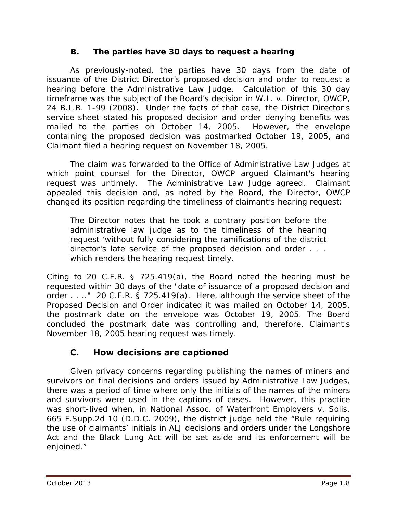## **B. The parties have 30 days to request a hearing**

As previously-noted, the parties have 30 days from the date of issuance of the District Director's proposed decision and order to request a hearing before the Administrative Law Judge. Calculation of this 30 day timeframe was the subject of the Board's decision in *W.L. v. Director, OWCP*, 24 B.L.R. 1-99 (2008). Under the facts of that case, the District Director's service sheet stated his proposed decision and order denying benefits was mailed to the parties on October 14, 2005. However, the envelope containing the proposed decision was postmarked October 19, 2005, and Claimant filed a hearing request on November 18, 2005.

The claim was forwarded to the Office of Administrative Law Judges at which point counsel for the Director, OWCP argued Claimant's hearing request was untimely. The Administrative Law Judge agreed. Claimant appealed this decision and, as noted by the Board, the Director, OWCP changed its position regarding the timeliness of claimant's hearing request:

The Director notes that he took a contrary position before the administrative law judge as to the timeliness of the hearing request 'without fully considering the ramifications of the district director's late service of the proposed decision and order . . . which renders the hearing request timely.

Citing to 20 C.F.R. § 725.419(a), the Board noted the hearing must be requested within 30 days of the "date of issuance of a proposed decision and order . . .." 20 C.F.R. § 725.419(a). Here, although the service sheet of the *Proposed Decision and Order* indicated it was mailed on October 14, 2005, the postmark date on the envelope was October 19, 2005. The Board concluded the postmark date was controlling and, therefore, Claimant's November 18, 2005 hearing request was timely.

# **C. How decisions are captioned**

Given privacy concerns regarding publishing the names of miners and survivors on final decisions and orders issued by Administrative Law Judges, there was a period of time where only the initials of the names of the miners and survivors were used in the captions of cases. However, this practice was short-lived when, in *National Assoc. of Waterfront Employers v. Solis*, 665 F.Supp.2d 10 (D.D.C. 2009), the district judge held the "Rule requiring the use of claimants' initials in ALJ decisions and orders under the Longshore Act and the Black Lung Act will be set aside and its enforcement will be enjoined."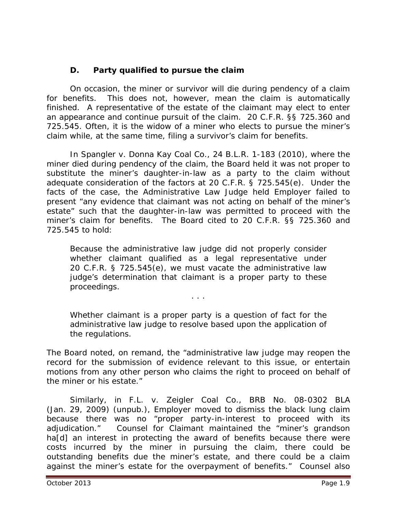## **D. Party qualified to pursue the claim**

On occasion, the miner or survivor will die during pendency of a claim for benefits. This does not, however, mean the claim is automatically finished. A representative of the estate of the claimant may elect to enter an appearance and continue pursuit of the claim. 20 C.F.R. §§ 725.360 and 725.545. Often, it is the widow of a miner who elects to pursue the miner's claim while, at the same time, filing a survivor's claim for benefits.

In *Spangler v. Donna Kay Coal Co.*, 24 B.L.R. 1-183 (2010), where the miner died during pendency of the claim, the Board held it was not proper to substitute the miner's daughter-in-law as a party to the claim without adequate consideration of the factors at 20 C.F.R. § 725.545(e). Under the facts of the case, the Administrative Law Judge held Employer failed to present "any evidence that claimant was not acting on behalf of the miner's estate" such that the daughter-in-law was permitted to proceed with the miner's claim for benefits. The Board cited to 20 C.F.R. §§ 725.360 and 725.545 to hold:

Because the administrative law judge did not properly consider whether claimant qualified as a legal representative under 20 C.F.R. § 725.545(e), we must vacate the administrative law judge's determination that claimant is a proper party to these proceedings.

. . .

Whether claimant is a proper party is a question of fact for the administrative law judge to resolve based upon the application of the regulations.

The Board noted, on remand, the "administrative law judge may reopen the record for the submission of evidence relevant to this issue, or entertain motions from any other person who claims the right to proceed on behalf of the miner or his estate."

Similarly, in *F.L. v. Zeigler Coal Co.*, BRB No. 08-0302 BLA (Jan. 29, 2009) (unpub.), Employer moved to dismiss the black lung claim because there was no "proper party-in-interest to proceed with its adjudication." Counsel for Claimant maintained the "miner's grandson ha[d] an interest in protecting the award of benefits because there were costs incurred by the miner in pursuing the claim, there could be outstanding benefits due the miner's estate, and there could be a claim against the miner's estate for the overpayment of benefits." Counsel also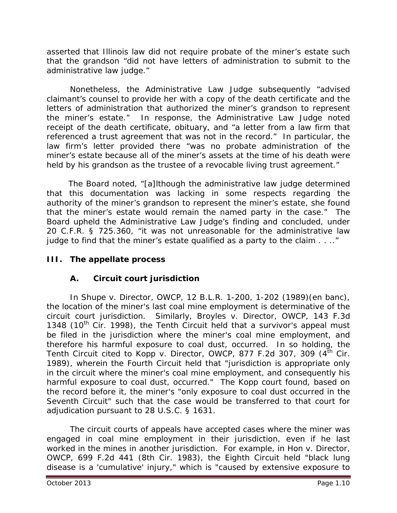asserted that Illinois law did not require probate of the miner's estate such that the grandson "did not have letters of administration to submit to the administrative law judge."

Nonetheless, the Administrative Law Judge subsequently "advised claimant's counsel to provide her with a copy of the death certificate and the letters of administration that authorized the miner's grandson to represent the miner's estate." In response, the Administrative Law Judge noted receipt of the death certificate, obituary, and "a letter from a law firm that referenced a trust agreement that was not in the record." In particular, the law firm's letter provided there "was no probate administration of the miner's estate because all of the miner's assets at the time of his death were held by his grandson as the trustee of a revocable living trust agreement."

 The Board noted, "[a]lthough the administrative law judge determined that this documentation was lacking in some respects regarding the authority of the miner's grandson to represent the miner's estate, she found that the miner's estate would remain the named party in the case." The Board upheld the Administrative Law Judge's finding and concluded, under 20 C.F.R. § 725.360, "it was not unreasonable for the administrative law judge to find that the miner's estate qualified as a party to the claim . . .."

## **III. The appellate process**

## **A. Circuit court jurisdiction**

In *Shupe v. Director, OWCP,* 12 B.L.R. 1-200, 1-202 (1989)(en banc), the location of the miner's last coal mine employment is determinative of the circuit court jurisdiction. Similarly, *Broyles v. Director, OWCP*, 143 F.3d 1348 (10<sup>th</sup> Cir. 1998), the Tenth Circuit held that a survivor's appeal must be filed in the jurisdiction where the miner's coal mine employment, and therefore his harmful exposure to coal dust, occurred. In so holding, the Tenth Circuit cited to *Kopp v. Director, OWCP*, 877 F.2d 307, 309 (4<sup>th</sup> Cir. 1989), wherein the Fourth Circuit held that "jurisdiction is appropriate only in the circuit where the miner's coal mine employment, and consequently his harmful exposure to coal dust, occurred." The *Kopp* court found, based on the record before it, the miner's "only exposure to coal dust occurred in the Seventh Circuit" such that the case would be transferred to that court for adjudication pursuant to 28 U.S.C. § 1631.

The circuit courts of appeals have accepted cases where the miner was engaged in coal mine employment in their jurisdiction, even if he last worked in the mines in another jurisdiction. For example, in *Hon v. Director, OWCP*, 699 F.2d 441 (8th Cir. 1983), the Eighth Circuit held "black lung disease is a 'cumulative' injury," which is "caused by extensive exposure to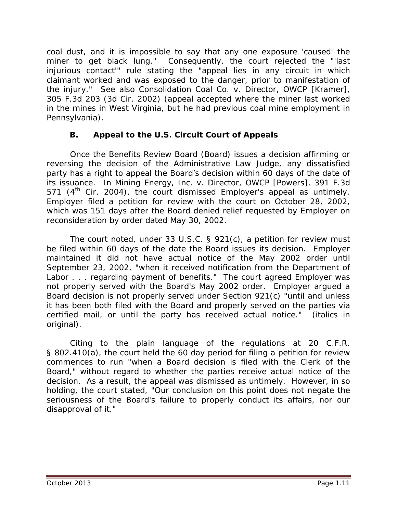coal dust, and it is impossible to say that any one exposure 'caused' the miner to get black lung." Consequently, the court rejected the "'last injurious contact'" rule stating the "appeal lies in any circuit in which claimant worked and was exposed to the danger, prior to manifestation of the injury." *See also Consolidation Coal Co. v. Director, OWCP [Kramer]*, 305 F.3d 203 (3d Cir. 2002) (appeal accepted where the miner last worked in the mines in West Virginia, but he had previous coal mine employment in Pennsylvania).

## **B. Appeal to the U.S. Circuit Court of Appeals**

Once the Benefits Review Board (Board) issues a decision affirming or reversing the decision of the Administrative Law Judge, any dissatisfied party has a right to appeal the Board's decision within 60 days of the date of its issuance. In *Mining Energy, Inc. v. Director, OWCP [Powers]*, 391 F.3d 571  $(4<sup>th</sup>$  Cir. 2004), the court dismissed Employer's appeal as untimely. Employer filed a petition for review with the court on October 28, 2002, which was 151 days after the Board denied relief requested by Employer on reconsideration by order dated May 30, 2002.

The court noted, under 33 U.S.C. § 921(c), a petition for review must be filed within 60 days of the date the Board issues its decision. Employer maintained it did not have *actual* notice of the May 2002 order until September 23, 2002, "when it received notification from the Department of Labor . . . regarding payment of benefits." The court agreed Employer was not properly served with the Board's May 2002 order. Employer argued a Board decision is not properly served under Section 921(c) "until and unless it has been both filed with the Board *and* properly served on the parties via certified mail, or until the party has received actual notice." (italics in original).

Citing to the plain language of the regulations at 20 C.F.R. § 802.410(a), the court held the 60 day period for filing a petition for review commences to run "when a Board decision is *filed* with the Clerk of the Board," without regard to whether the parties receive *actual* notice of the decision. As a result, the appeal was dismissed as untimely. However, in so holding, the court stated, "Our conclusion on this point does not negate the seriousness of the Board's failure to properly conduct its affairs, nor our disapproval of it."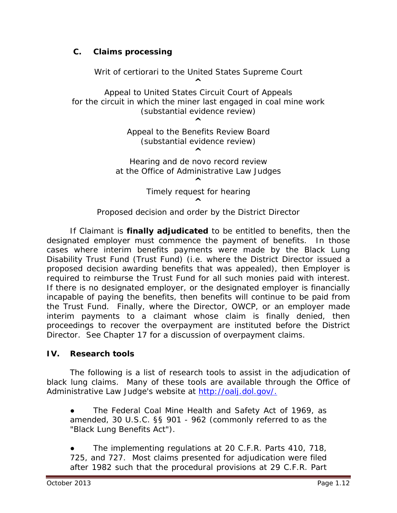## **C. Claims processing**

*Writ of certiorari* to the United States Supreme Court **^** Appeal to United States Circuit Court of Appeals for the circuit in which the miner last engaged in coal mine work (substantial evidence review) **^** Appeal to the Benefits Review Board (substantial evidence review) **^** Hearing and *de novo* record review at the Office of Administrative Law Judges **^** Timely request for hearing **^**

If Claimant is **finally adjudicated** to be entitled to benefits, then the designated employer must commence the payment of benefits. In those cases where interim benefits payments were made by the Black Lung Disability Trust Fund (Trust Fund) (*i.e.* where the District Director issued a proposed decision awarding benefits that was appealed), then Employer is required to reimburse the Trust Fund for all such monies paid with interest. If there is no designated employer, or the designated employer is financially incapable of paying the benefits, then benefits will continue to be paid from the Trust Fund. Finally, where the Director, OWCP, or an employer made interim payments to a claimant whose claim is finally denied, then proceedings to recover the overpayment are instituted before the District Director. *See* Chapter 17 for a discussion of overpayment claims.

Proposed decision and order by the District Director

#### **IV. Research tools**

The following is a list of research tools to assist in the adjudication of black lung claims. Many of these tools are available through the Office of Administrative Law Judge's website at http://oalj.dol.gov/.

The Federal Coal Mine Health and Safety Act of 1969, as amended, 30 U.S.C. §§ 901 - 962 (commonly referred to as the "Black Lung Benefits Act").

The implementing regulations at 20 C.F.R. Parts 410, 718, 725, and 727. Most claims presented for adjudication were filed after 1982 such that the procedural provisions at 29 C.F.R. Part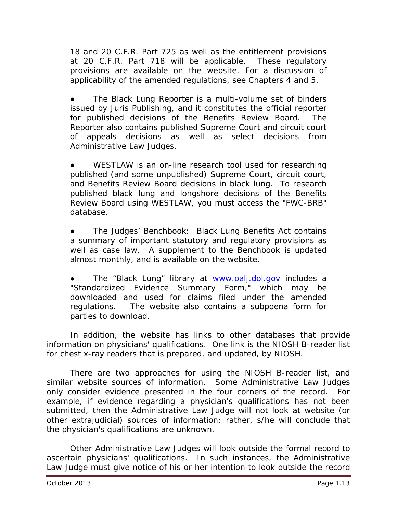18 and 20 C.F.R. Part 725 as well as the entitlement provisions at 20 C.F.R. Part 718 will be applicable. These regulatory provisions are available on the website. For a discussion of applicability of the amended regulations, *see* Chapters 4 and 5*.* 

The *Black Lung Reporter* is a multi-volume set of binders issued by Juris Publishing, and it constitutes the official reporter for published decisions of the Benefits Review Board. The *Reporter* also contains published Supreme Court and circuit court of appeals decisions as well as select decisions from Administrative Law Judges.

WESTLAW is an on-line research tool used for researching published (and some unpublished) Supreme Court, circuit court, and Benefits Review Board decisions in black lung. To research published black lung and longshore decisions of the Benefits Review Board using WESTLAW, you must access the "FWC-BRB" database.

● The *Judges' Benchbook: Black Lung Benefits Act* contains a summary of important statutory and regulatory provisions as well as case law. A supplement to the *Benchbook* is updated almost monthly, and is available on the website.

The "Black Lung" library at [www.oalj.dol.gov](http://www.oalj.dol.gov/) includes a "Standardized Evidence Summary Form," which may be downloaded and used for claims filed under the amended regulations. The website also contains a subpoena form for parties to download.

In addition, the website has links to other databases that provide information on physicians' qualifications. One link is the NIOSH B-reader list for chest x-ray readers that is prepared, and updated, by NIOSH.

There are two approaches for using the NIOSH B-reader list, and similar website sources of information. Some Administrative Law Judges only consider evidence presented in the four corners of the record. For example, if evidence regarding a physician's qualifications has not been submitted, then the Administrative Law Judge will not look at website (or other extrajudicial) sources of information; rather, s/he will conclude that the physician's qualifications are unknown.

Other Administrative Law Judges will look outside the formal record to ascertain physicians' qualifications. In such instances, the Administrative Law Judge must give notice of his or her intention to look outside the record